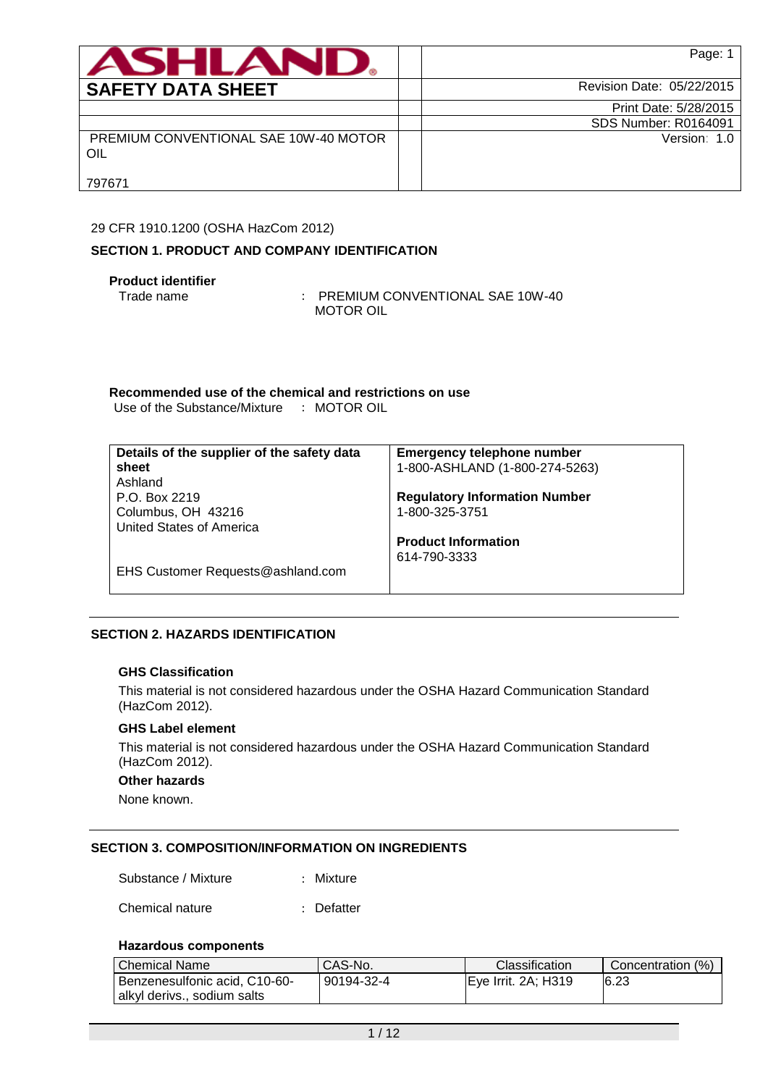| <b>ASHLAND.</b>                              | Page: 1                     |
|----------------------------------------------|-----------------------------|
| <b>SAFETY DATA SHEET</b>                     | Revision Date: 05/22/2015   |
|                                              | Print Date: 5/28/2015       |
|                                              | <b>SDS Number: R0164091</b> |
| PREMIUM CONVENTIONAL SAE 10W-40 MOTOR<br>OIL | Version: 1.0                |
| 797671                                       |                             |

## 29 CFR 1910.1200 (OSHA HazCom 2012)

# **SECTION 1. PRODUCT AND COMPANY IDENTIFICATION**

# **Product identifier**

Trade name : PREMIUM CONVENTIONAL SAE 10W-40 MOTOR OIL

**Recommended use of the chemical and restrictions on use** Use of the Substance/Mixture : MOTOR OIL

| Details of the supplier of the safety data | <b>Emergency telephone number</b>    |
|--------------------------------------------|--------------------------------------|
| sheet                                      | 1-800-ASHLAND (1-800-274-5263)       |
| Ashland                                    |                                      |
| P.O. Box 2219                              | <b>Regulatory Information Number</b> |
| Columbus, OH 43216                         | 1-800-325-3751                       |
| <b>United States of America</b>            |                                      |
|                                            | <b>Product Information</b>           |
|                                            | 614-790-3333                         |
| EHS Customer Requests@ashland.com          |                                      |
|                                            |                                      |

# **SECTION 2. HAZARDS IDENTIFICATION**

## **GHS Classification**

This material is not considered hazardous under the OSHA Hazard Communication Standard (HazCom 2012).

## **GHS Label element**

This material is not considered hazardous under the OSHA Hazard Communication Standard (HazCom 2012).

### **Other hazards**

None known.

### **SECTION 3. COMPOSITION/INFORMATION ON INGREDIENTS**

Substance / Mixture : Mixture

Chemical nature : Defatter

### **Hazardous components**

| <b>Chemical Name</b>          | CAS-No.    | <b>Classification</b> | Concentration (%) |
|-------------------------------|------------|-----------------------|-------------------|
| Benzenesulfonic acid, C10-60- | 90194-32-4 | IEve Irrit. 2A: H319  | 6.23              |
| alkyl derivs., sodium salts   |            |                       |                   |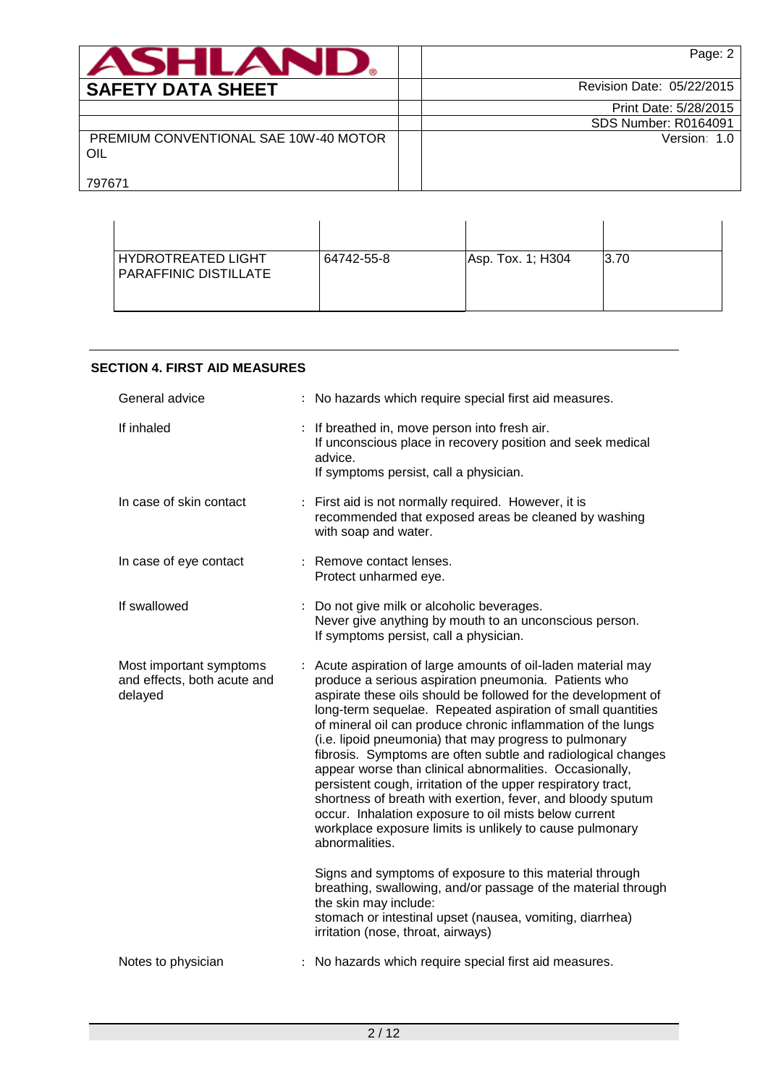| <b>ASHLAND</b>                               | Page: 2                     |
|----------------------------------------------|-----------------------------|
| <b>SAFETY DATA SHEET</b>                     | Revision Date: 05/22/2015   |
|                                              | Print Date: 5/28/2015       |
|                                              | <b>SDS Number: R0164091</b> |
| PREMIUM CONVENTIONAL SAE 10W-40 MOTOR<br>OIL | Version: 1.0                |
| 797671                                       |                             |

| <b>HYDROTREATED LIGHT</b><br><b>PARAFFINIC DISTILLATE</b> | 64742-55-8 | Asp. Tox. 1; H304 | 3.70 |
|-----------------------------------------------------------|------------|-------------------|------|

## **SECTION 4. FIRST AID MEASURES**

| General advice                                                    | : No hazards which require special first aid measures.                                                                                                                                                                                                                                                                                                                                                                                                                                                                                                                                                                                                                                                                                                                         |
|-------------------------------------------------------------------|--------------------------------------------------------------------------------------------------------------------------------------------------------------------------------------------------------------------------------------------------------------------------------------------------------------------------------------------------------------------------------------------------------------------------------------------------------------------------------------------------------------------------------------------------------------------------------------------------------------------------------------------------------------------------------------------------------------------------------------------------------------------------------|
| If inhaled                                                        | : If breathed in, move person into fresh air.<br>If unconscious place in recovery position and seek medical<br>advice.<br>If symptoms persist, call a physician.                                                                                                                                                                                                                                                                                                                                                                                                                                                                                                                                                                                                               |
| In case of skin contact                                           | : First aid is not normally required. However, it is<br>recommended that exposed areas be cleaned by washing<br>with soap and water.                                                                                                                                                                                                                                                                                                                                                                                                                                                                                                                                                                                                                                           |
| In case of eye contact                                            | : Remove contact lenses.<br>Protect unharmed eye.                                                                                                                                                                                                                                                                                                                                                                                                                                                                                                                                                                                                                                                                                                                              |
| If swallowed                                                      | Do not give milk or alcoholic beverages.<br>Never give anything by mouth to an unconscious person.<br>If symptoms persist, call a physician.                                                                                                                                                                                                                                                                                                                                                                                                                                                                                                                                                                                                                                   |
| Most important symptoms<br>and effects, both acute and<br>delayed | Acute aspiration of large amounts of oil-laden material may<br>produce a serious aspiration pneumonia. Patients who<br>aspirate these oils should be followed for the development of<br>long-term sequelae. Repeated aspiration of small quantities<br>of mineral oil can produce chronic inflammation of the lungs<br>(i.e. lipoid pneumonia) that may progress to pulmonary<br>fibrosis. Symptoms are often subtle and radiological changes<br>appear worse than clinical abnormalities. Occasionally,<br>persistent cough, irritation of the upper respiratory tract,<br>shortness of breath with exertion, fever, and bloody sputum<br>occur. Inhalation exposure to oil mists below current<br>workplace exposure limits is unlikely to cause pulmonary<br>abnormalities. |
|                                                                   | Signs and symptoms of exposure to this material through<br>breathing, swallowing, and/or passage of the material through<br>the skin may include:<br>stomach or intestinal upset (nausea, vomiting, diarrhea)<br>irritation (nose, throat, airways)                                                                                                                                                                                                                                                                                                                                                                                                                                                                                                                            |
| Notes to physician                                                | : No hazards which require special first aid measures.                                                                                                                                                                                                                                                                                                                                                                                                                                                                                                                                                                                                                                                                                                                         |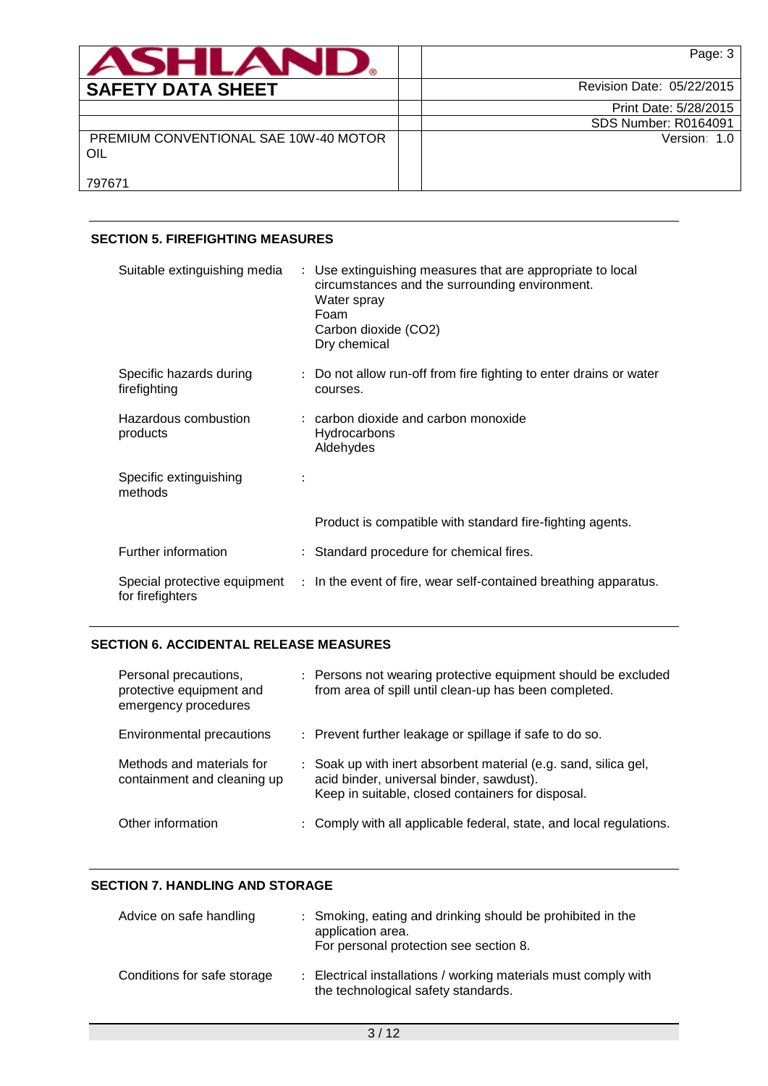| <b>ASHLAND,</b>                              | Page: 3                     |
|----------------------------------------------|-----------------------------|
| <b>SAFETY DATA SHEET</b>                     | Revision Date: 05/22/2015   |
|                                              | Print Date: 5/28/2015       |
|                                              | <b>SDS Number: R0164091</b> |
| PREMIUM CONVENTIONAL SAE 10W-40 MOTOR<br>OIL | Version: 1.0                |
| 797671                                       |                             |

# **SECTION 5. FIREFIGHTING MEASURES**

| Suitable extinguishing media            | : Use extinguishing measures that are appropriate to local<br>circumstances and the surrounding environment.<br>Water spray<br>Foam<br>Carbon dioxide (CO2)<br>Dry chemical |
|-----------------------------------------|-----------------------------------------------------------------------------------------------------------------------------------------------------------------------------|
| Specific hazards during<br>firefighting | : Do not allow run-off from fire fighting to enter drains or water<br>courses.                                                                                              |
| Hazardous combustion<br>products        | $:$ carbon dioxide and carbon monoxide<br>Hydrocarbons<br>Aldehydes                                                                                                         |
| Specific extinguishing<br>methods       |                                                                                                                                                                             |
|                                         | Product is compatible with standard fire-fighting agents.                                                                                                                   |
| Further information                     | : Standard procedure for chemical fires.                                                                                                                                    |
| for firefighters                        | Special protective equipment : In the event of fire, wear self-contained breathing apparatus.                                                                               |

# **SECTION 6. ACCIDENTAL RELEASE MEASURES**

| Personal precautions,<br>protective equipment and<br>emergency procedures | : Persons not wearing protective equipment should be excluded<br>from area of spill until clean-up has been completed.                                           |
|---------------------------------------------------------------------------|------------------------------------------------------------------------------------------------------------------------------------------------------------------|
| Environmental precautions                                                 | : Prevent further leakage or spillage if safe to do so.                                                                                                          |
| Methods and materials for<br>containment and cleaning up                  | : Soak up with inert absorbent material (e.g. sand, silica gel,<br>acid binder, universal binder, sawdust).<br>Keep in suitable, closed containers for disposal. |
| Other information                                                         | : Comply with all applicable federal, state, and local regulations.                                                                                              |

# **SECTION 7. HANDLING AND STORAGE**

| Advice on safe handling     | : Smoking, eating and drinking should be prohibited in the<br>application area.<br>For personal protection see section 8. |
|-----------------------------|---------------------------------------------------------------------------------------------------------------------------|
| Conditions for safe storage | : Electrical installations / working materials must comply with<br>the technological safety standards.                    |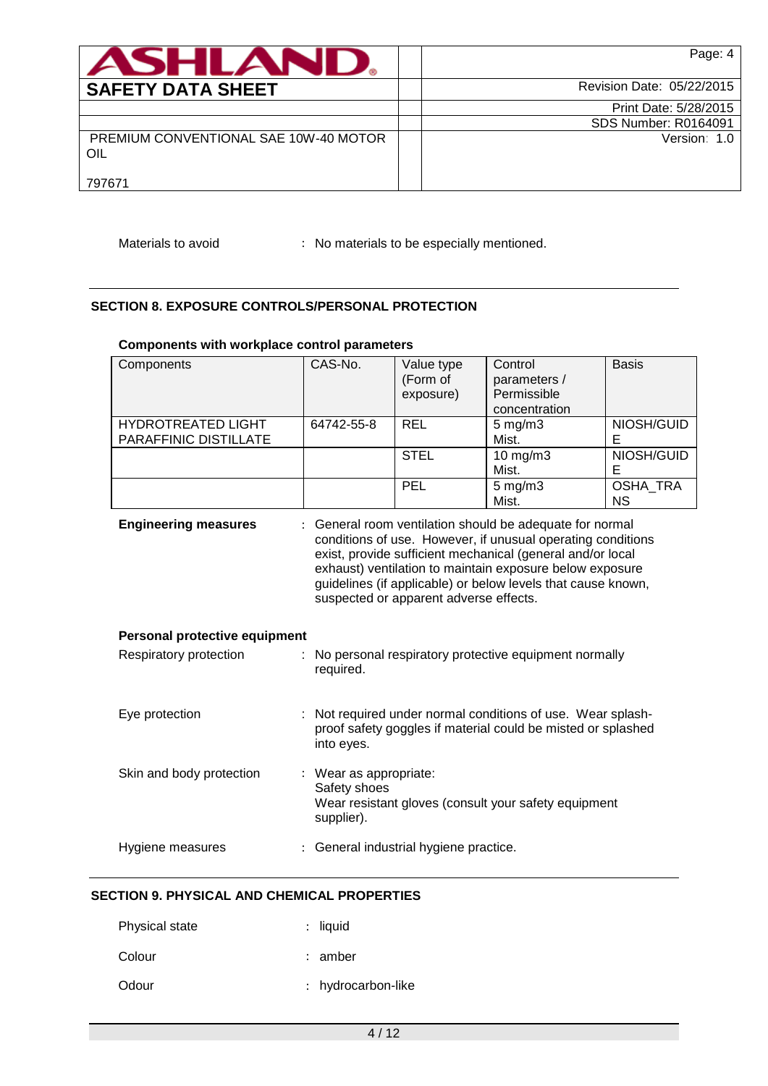| ASHLAND.                                     | Page: 4                     |
|----------------------------------------------|-----------------------------|
| <b>SAFETY DATA SHEET</b>                     | Revision Date: 05/22/2015   |
|                                              | Print Date: 5/28/2015       |
|                                              | <b>SDS Number: R0164091</b> |
| PREMIUM CONVENTIONAL SAE 10W-40 MOTOR<br>OIL | Version: 1.0                |
| 797671                                       |                             |

Materials to avoid : No materials to be especially mentioned.

# **SECTION 8. EXPOSURE CONTROLS/PERSONAL PROTECTION**

### **Components with workplace control parameters**

| Components                                         | CAS-No.                                                                                                                                                                                                                                                                                                                                                     | Value type<br>(Form of<br>exposure)                                            | Control<br>parameters /<br>Permissible<br>concentration | <b>Basis</b>          |  |  |
|----------------------------------------------------|-------------------------------------------------------------------------------------------------------------------------------------------------------------------------------------------------------------------------------------------------------------------------------------------------------------------------------------------------------------|--------------------------------------------------------------------------------|---------------------------------------------------------|-----------------------|--|--|
| <b>HYDROTREATED LIGHT</b><br>PARAFFINIC DISTILLATE | 64742-55-8                                                                                                                                                                                                                                                                                                                                                  | <b>REL</b>                                                                     | $5$ mg/m $3$<br>Mist.                                   | NIOSH/GUID<br>Е       |  |  |
|                                                    |                                                                                                                                                                                                                                                                                                                                                             | <b>STEL</b>                                                                    | 10 mg/m3<br>Mist.                                       | NIOSH/GUID<br>E       |  |  |
|                                                    |                                                                                                                                                                                                                                                                                                                                                             | <b>PEL</b>                                                                     | $5$ mg/m $3$<br>Mist.                                   | OSHA_TRA<br><b>NS</b> |  |  |
| <b>Engineering measures</b>                        | : General room ventilation should be adequate for normal<br>conditions of use. However, if unusual operating conditions<br>exist, provide sufficient mechanical (general and/or local<br>exhaust) ventilation to maintain exposure below exposure<br>guidelines (if applicable) or below levels that cause known,<br>suspected or apparent adverse effects. |                                                                                |                                                         |                       |  |  |
| Personal protective equipment                      |                                                                                                                                                                                                                                                                                                                                                             |                                                                                |                                                         |                       |  |  |
| Respiratory protection                             | : No personal respiratory protective equipment normally<br>required.                                                                                                                                                                                                                                                                                        |                                                                                |                                                         |                       |  |  |
| Eye protection                                     | : Not required under normal conditions of use. Wear splash-<br>proof safety goggles if material could be misted or splashed<br>into eyes.                                                                                                                                                                                                                   |                                                                                |                                                         |                       |  |  |
| Skin and body protection                           | Safety shoes<br>supplier).                                                                                                                                                                                                                                                                                                                                  | : Wear as appropriate:<br>Wear resistant gloves (consult your safety equipment |                                                         |                       |  |  |
| Hygiene measures                                   |                                                                                                                                                                                                                                                                                                                                                             | : General industrial hygiene practice.                                         |                                                         |                       |  |  |

# **SECTION 9. PHYSICAL AND CHEMICAL PROPERTIES**

| <b>Physical state</b> | $:$ liquid         |
|-----------------------|--------------------|
| Colour                | : amber            |
| Odour                 | : hydrocarbon-like |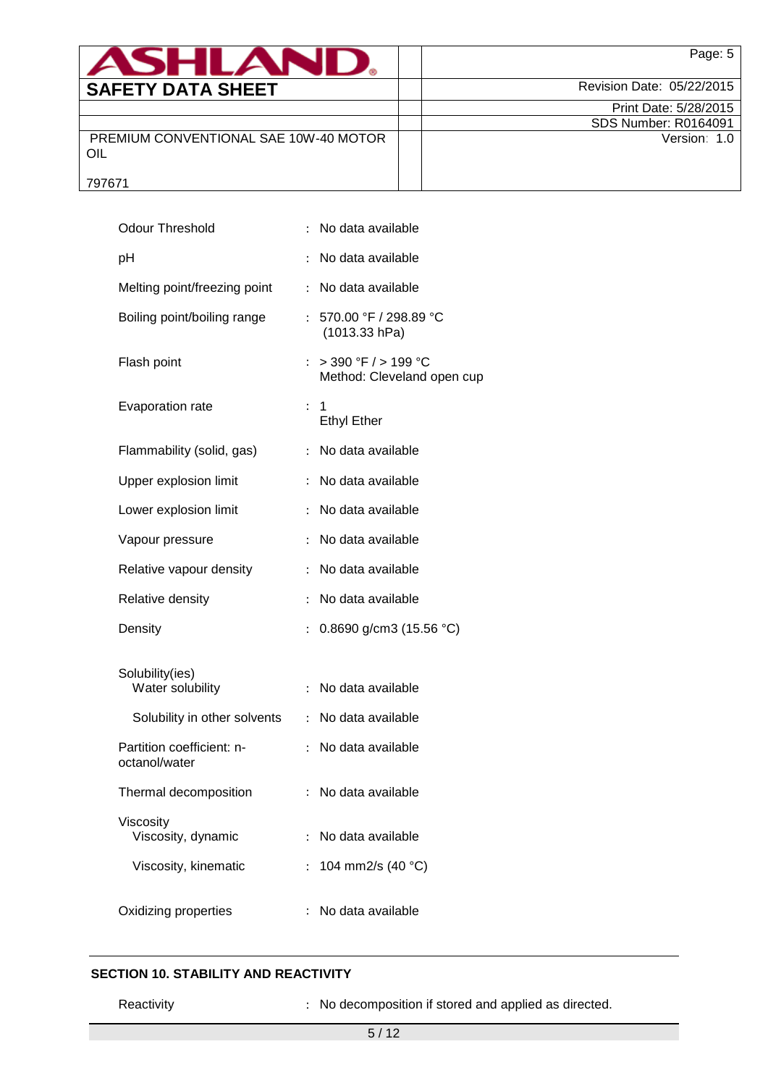| <b>ASHLAND.</b>                              | Page: 5                     |
|----------------------------------------------|-----------------------------|
| <b>SAFETY DATA SHEET</b>                     | Revision Date: 05/22/2015   |
|                                              | Print Date: 5/28/2015       |
|                                              | <b>SDS Number: R0164091</b> |
| PREMIUM CONVENTIONAL SAE 10W-40 MOTOR<br>OIL | Version: 1.0                |
| 797671                                       |                             |

| <b>Odour Threshold</b>                     | $\ddot{\cdot}$            | No data available                                     |
|--------------------------------------------|---------------------------|-------------------------------------------------------|
| pH                                         | $\ddot{\cdot}$            | No data available                                     |
| Melting point/freezing point               | ÷                         | No data available                                     |
| Boiling point/boiling range                |                           | : 570.00 °F / 298.89 °C<br>(1013.33 hPa)              |
| Flash point                                | $\ddot{\cdot}$            | $>$ 390 °F $/$ > 199 °C<br>Method: Cleveland open cup |
| Evaporation rate                           | $\ddot{\phantom{0}}$      | 1<br><b>Ethyl Ether</b>                               |
| Flammability (solid, gas)                  | $\ddot{\cdot}$            | No data available                                     |
| Upper explosion limit                      |                           | No data available                                     |
| Lower explosion limit                      | $\ddot{\cdot}$            | No data available                                     |
| Vapour pressure                            | $\ddot{\cdot}$            | No data available                                     |
| Relative vapour density                    | $\ddot{\cdot}$            | No data available                                     |
| Relative density                           | $\ddot{\cdot}$            | No data available                                     |
| Density                                    | $\ddot{\cdot}$            | 0.8690 g/cm3 (15.56 °C)                               |
| Solubility(ies)<br>Water solubility        | $\ddot{\phantom{a}}$      | No data available                                     |
| Solubility in other solvents               | $\ddot{\phantom{0}}$      | No data available                                     |
| Partition coefficient: n-<br>octanol/water | ÷.                        | No data available                                     |
| Thermal decomposition                      |                           | No data available                                     |
| Viscosity<br>Viscosity, dynamic            |                           | No data available                                     |
| Viscosity, kinematic                       | $\mathbb{R}^{\mathbb{Z}}$ | 104 mm2/s (40 °C)                                     |
| Oxidizing properties                       | ÷                         | No data available                                     |

# **SECTION 10. STABILITY AND REACTIVITY**

Reactivity **Reactivity** : No decomposition if stored and applied as directed.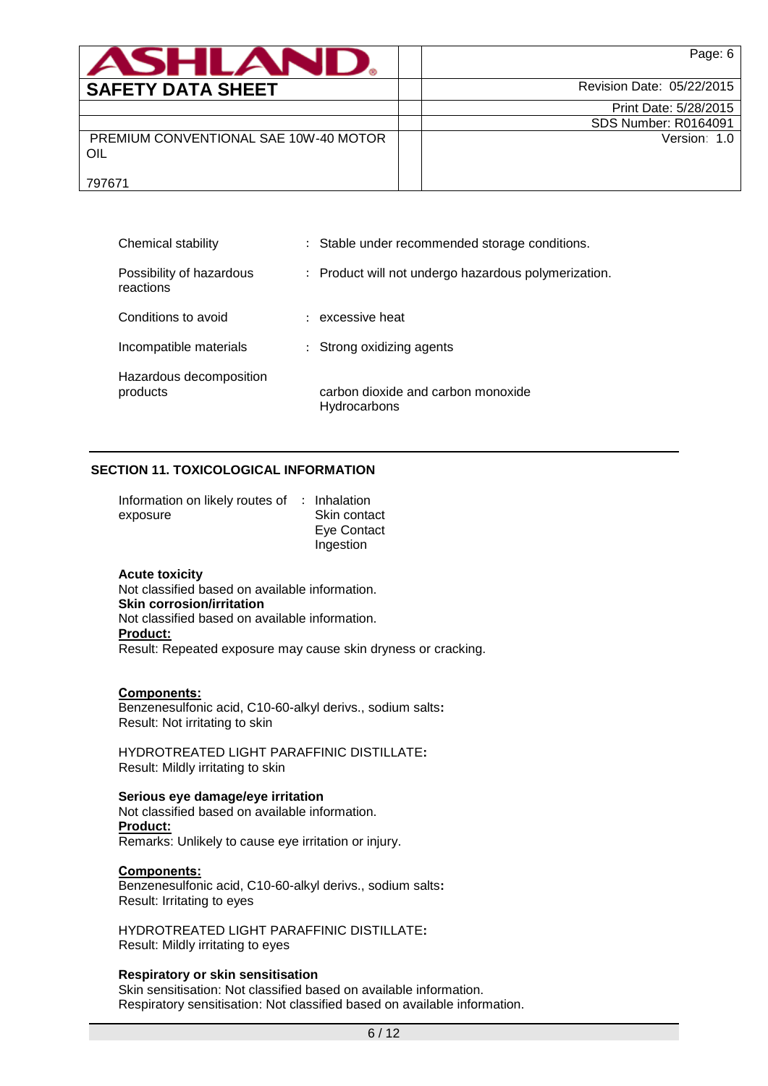| <b>ASHLANI</b>                               | Page: 6                     |
|----------------------------------------------|-----------------------------|
| <b>SAFETY DATA SHEET</b>                     | Revision Date: 05/22/2015   |
|                                              | Print Date: 5/28/2015       |
|                                              | <b>SDS Number: R0164091</b> |
| PREMIUM CONVENTIONAL SAE 10W-40 MOTOR<br>OIL | Version: 1.0                |
| 797671                                       |                             |

| Chemical stability                    | : Stable under recommended storage conditions.       |
|---------------------------------------|------------------------------------------------------|
| Possibility of hazardous<br>reactions | : Product will not undergo hazardous polymerization. |
| Conditions to avoid                   | : excessive heat                                     |
| Incompatible materials                | : Strong oxidizing agents                            |
| Hazardous decomposition<br>products   | carbon dioxide and carbon monoxide<br>Hydrocarbons   |

# **SECTION 11. TOXICOLOGICAL INFORMATION**

| Information on likely routes of : Inhalation |              |
|----------------------------------------------|--------------|
| exposure                                     | Skin contact |
|                                              | Eye Contact  |
|                                              | Ingestion    |

### **Acute toxicity**

Not classified based on available information. **Skin corrosion/irritation** Not classified based on available information. **Product:** Result: Repeated exposure may cause skin dryness or cracking.

### **Components:**

Benzenesulfonic acid, C10-60-alkyl derivs., sodium salts**:** Result: Not irritating to skin

HYDROTREATED LIGHT PARAFFINIC DISTILLATE**:** Result: Mildly irritating to skin

**Serious eye damage/eye irritation** Not classified based on available information. **Product:** Remarks: Unlikely to cause eye irritation or injury.

#### **Components:**

Benzenesulfonic acid, C10-60-alkyl derivs., sodium salts**:** Result: Irritating to eyes

HYDROTREATED LIGHT PARAFFINIC DISTILLATE**:** Result: Mildly irritating to eyes

### **Respiratory or skin sensitisation**

Skin sensitisation: Not classified based on available information. Respiratory sensitisation: Not classified based on available information.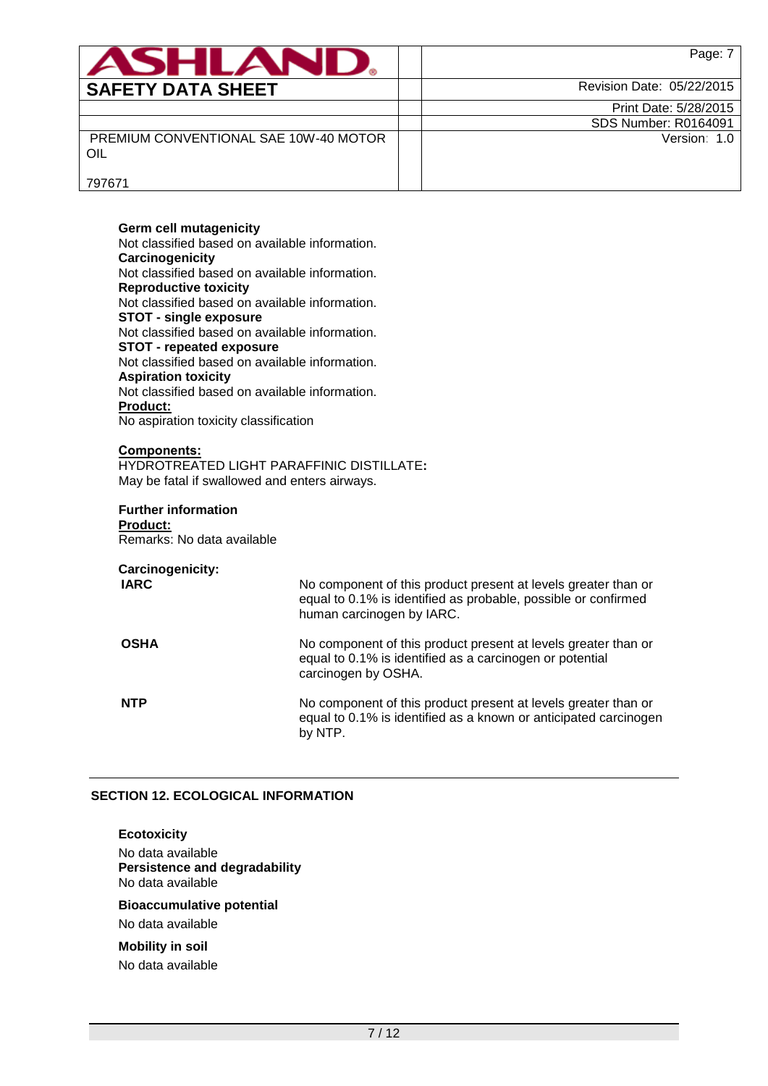| ANHLAN                                       | Page: 7                     |
|----------------------------------------------|-----------------------------|
| <b>SAFETY DATA SHEET</b>                     | Revision Date: 05/22/2015   |
|                                              | Print Date: 5/28/2015       |
|                                              | <b>SDS Number: R0164091</b> |
| PREMIUM CONVENTIONAL SAE 10W-40 MOTOR<br>OIL | Version: 1.0                |
| 797671                                       |                             |

### **Germ cell mutagenicity** Not classified based on available information. **Carcinogenicity** Not classified based on available information. **Reproductive toxicity** Not classified based on available information. **STOT - single exposure** Not classified based on available information. **STOT - repeated exposure** Not classified based on available information. **Aspiration toxicity** Not classified based on available information. **Product:** No aspiration toxicity classification

# **Components:**

# HYDROTREATED LIGHT PARAFFINIC DISTILLATE**:** May be fatal if swallowed and enters airways.

# **Further information Product:**

Remarks: No data available

# **Carcinogenicity:**

| <b>IARC</b> | No component of this product present at levels greater than or<br>equal to 0.1% is identified as probable, possible or confirmed<br>human carcinogen by IARC. |
|-------------|---------------------------------------------------------------------------------------------------------------------------------------------------------------|
| <b>OSHA</b> | No component of this product present at levels greater than or<br>equal to 0.1% is identified as a carcinogen or potential<br>carcinogen by OSHA.             |
| <b>NTP</b>  | No component of this product present at levels greater than or<br>equal to 0.1% is identified as a known or anticipated carcinogen<br>by NTP.                 |

### **SECTION 12. ECOLOGICAL INFORMATION**

### **Ecotoxicity**

No data available **Persistence and degradability** No data available

# **Bioaccumulative potential**

No data available

# **Mobility in soil**

No data available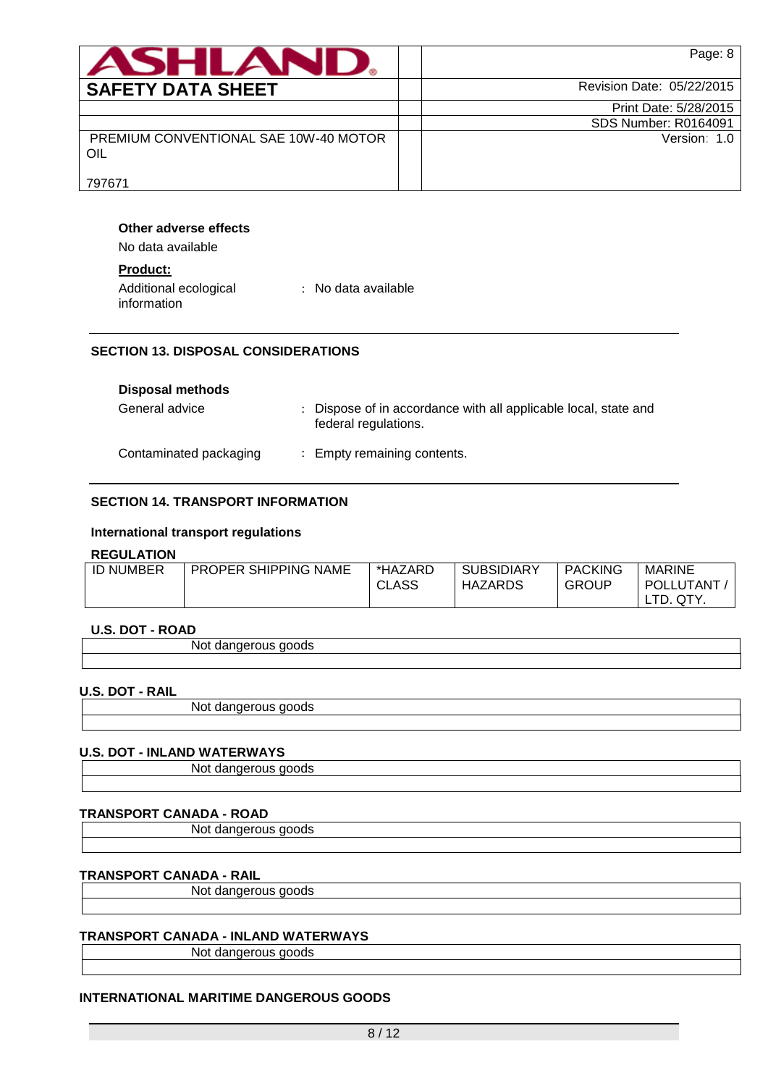| <b>ASHLANU</b>                               | Page: 8                   |
|----------------------------------------------|---------------------------|
| <b>SAFETY DATA SHEET</b>                     | Revision Date: 05/22/2015 |
|                                              | Print Date: 5/28/2015     |
|                                              | SDS Number: R0164091      |
| PREMIUM CONVENTIONAL SAE 10W-40 MOTOR<br>OIL | Version: 1.0              |
| 797671                                       |                           |

### **Other adverse effects**

No data available

# **Product:**

| Additional ecological | : No data available |
|-----------------------|---------------------|
| information           |                     |

# **SECTION 13. DISPOSAL CONSIDERATIONS**

| <b>Disposal methods</b> |                                                                                         |
|-------------------------|-----------------------------------------------------------------------------------------|
| General advice          | : Dispose of in accordance with all applicable local, state and<br>federal regulations. |
| Contaminated packaging  | : Empty remaining contents.                                                             |

# **SECTION 14. TRANSPORT INFORMATION**

### **International transport regulations**

### **REGULATION**

| <b>ID NUMBER</b> | <b>PROPER SHIPPING NAME</b> | *HAZARD<br>CLASS | <b>SUBSIDIARY</b><br>HAZARDS | <b>PACKING</b><br>GROUP | <b>MARINE</b><br>POLLUTANT |
|------------------|-----------------------------|------------------|------------------------------|-------------------------|----------------------------|
|                  |                             |                  |                              |                         | TD.<br>QTY.                |

## **U.S. DOT - ROAD**

### **U.S. DOT - RAIL**

Not dangerous goods

## **U.S. DOT - INLAND WATERWAYS**

Not dangerous goods

### **TRANSPORT CANADA - ROAD**

Not dangerous goods

# **TRANSPORT CANADA - RAIL**

Not dangerous goods

### **TRANSPORT CANADA - INLAND WATERWAYS**

Not dangerous goods

# **INTERNATIONAL MARITIME DANGEROUS GOODS**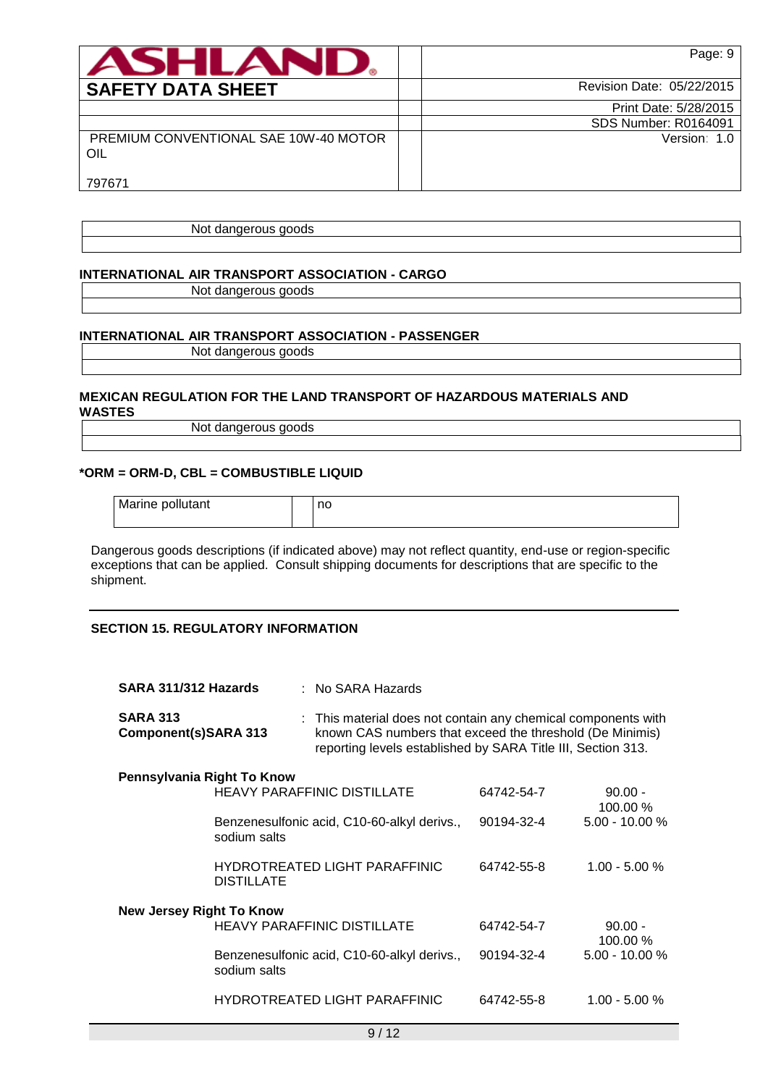| <b>ASHLANL</b>                               | Page: 9                     |
|----------------------------------------------|-----------------------------|
| <b>SAFETY DATA SHEET</b>                     | Revision Date: 05/22/2015   |
|                                              | Print Date: 5/28/2015       |
|                                              | <b>SDS Number: R0164091</b> |
| PREMIUM CONVENTIONAL SAE 10W-40 MOTOR<br>OIL | Version: 1.0                |
| 797671                                       |                             |

Not dangerous goods

## **INTERNATIONAL AIR TRANSPORT ASSOCIATION - CARGO**

Not dangerous goods

# **INTERNATIONAL AIR TRANSPORT ASSOCIATION - PASSENGER**

Not dangerous goods

### **MEXICAN REGULATION FOR THE LAND TRANSPORT OF HAZARDOUS MATERIALS AND WASTES**

Not dangerous goods

# **\*ORM = ORM-D, CBL = COMBUSTIBLE LIQUID**

Marine pollutant and all no

Dangerous goods descriptions (if indicated above) may not reflect quantity, end-use or region-specific exceptions that can be applied. Consult shipping documents for descriptions that are specific to the shipment.

# **SECTION 15. REGULATORY INFORMATION**

| SARA 311/312 Hazards                    |                   | : No SARA Hazards                                                                                                                                                                         |            |                       |
|-----------------------------------------|-------------------|-------------------------------------------------------------------------------------------------------------------------------------------------------------------------------------------|------------|-----------------------|
| <b>SARA 313</b><br>Component(s)SARA 313 |                   | : This material does not contain any chemical components with<br>known CAS numbers that exceed the threshold (De Minimis)<br>reporting levels established by SARA Title III, Section 313. |            |                       |
| Pennsylvania Right To Know              |                   |                                                                                                                                                                                           |            |                       |
|                                         |                   | <b>HEAVY PARAFFINIC DISTILLATE</b>                                                                                                                                                        | 64742-54-7 | $90.00 -$<br>100.00 % |
|                                         | sodium salts      | Benzenesulfonic acid, C10-60-alkyl derivs.,                                                                                                                                               | 90194-32-4 | $5.00 - 10.00 %$      |
|                                         | <b>DISTILLATE</b> | HYDROTREATED LIGHT PARAFFINIC                                                                                                                                                             | 64742-55-8 | $1.00 - 5.00 %$       |
| New Jersey Right To Know                |                   |                                                                                                                                                                                           |            |                       |
|                                         |                   | <b>HEAVY PARAFFINIC DISTILLATE</b>                                                                                                                                                        | 64742-54-7 | $90.00 -$<br>100.00 % |
|                                         | sodium salts      | Benzenesulfonic acid, C10-60-alkyl derivs.,                                                                                                                                               | 90194-32-4 | $5.00 - 10.00 %$      |
|                                         |                   | <b>HYDROTREATED LIGHT PARAFFINIC</b>                                                                                                                                                      | 64742-55-8 | $1.00 - 5.00 %$       |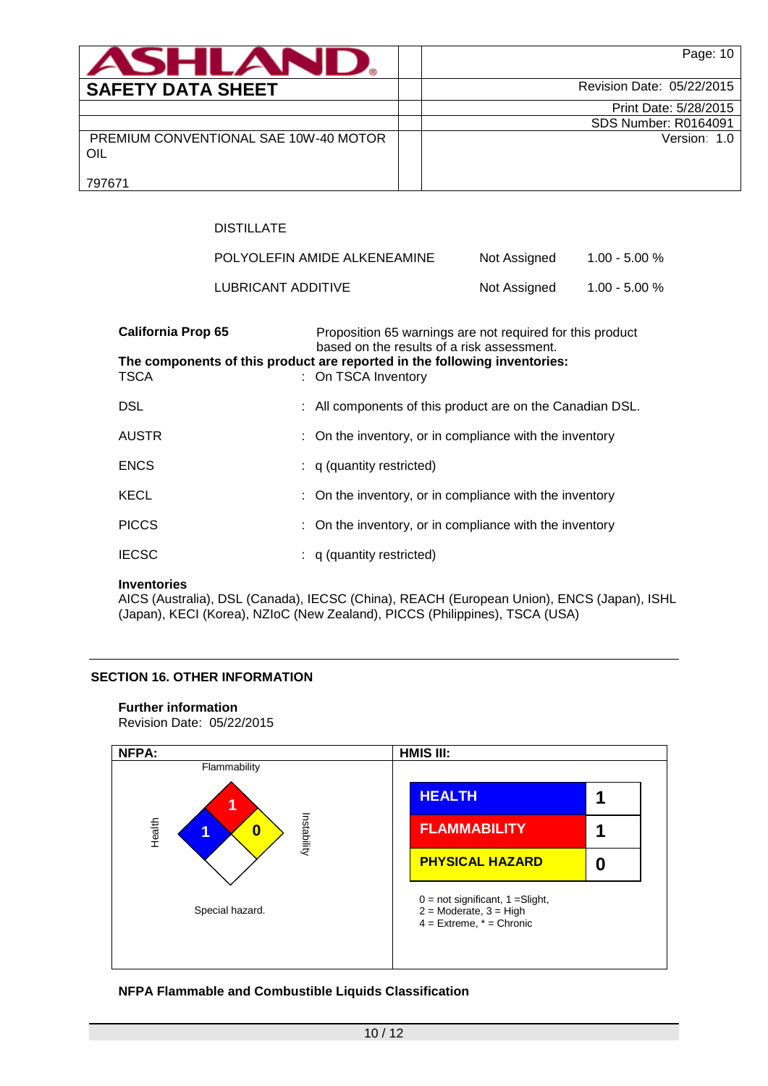| ASHLAN                                       | Page: 10                    |
|----------------------------------------------|-----------------------------|
| <b>SAFETY DATA SHEET</b>                     | Revision Date: 05/22/2015   |
|                                              | Print Date: 5/28/2015       |
|                                              | <b>SDS Number: R0164091</b> |
| PREMIUM CONVENTIONAL SAE 10W-40 MOTOR<br>OIL | Version: 1.0                |
| 797671                                       |                             |

# DISTILLATE

| POLYOLEFIN AMIDE ALKENEAMINE | Not Assigned | $1.00 - 5.00 %$ |
|------------------------------|--------------|-----------------|
| LUBRICANT ADDITIVE           | Not Assigned | $1.00 - 5.00 %$ |

| <b>California Prop 65</b> | Proposition 65 warnings are not required for this product<br>based on the results of a risk assessment. |
|---------------------------|---------------------------------------------------------------------------------------------------------|
| <b>TSCA</b>               | The components of this product are reported in the following inventories:<br>: On TSCA Inventory        |
| <b>DSL</b>                | : All components of this product are on the Canadian DSL.                                               |
| <b>AUSTR</b>              | : On the inventory, or in compliance with the inventory                                                 |
| <b>ENCS</b>               | $: q$ (quantity restricted)                                                                             |
| <b>KECL</b>               | : On the inventory, or in compliance with the inventory                                                 |
| <b>PICCS</b>              | : On the inventory, or in compliance with the inventory                                                 |
| <b>IECSC</b>              | $: q$ (quantity restricted)                                                                             |

### **Inventories**

AICS (Australia), DSL (Canada), IECSC (China), REACH (European Union), ENCS (Japan), ISHL (Japan), KECI (Korea), NZIoC (New Zealand), PICCS (Philippines), TSCA (USA)

### **SECTION 16. OTHER INFORMATION**

### **Further information**

Revision Date: 05/22/2015



## **NFPA Flammable and Combustible Liquids Classification**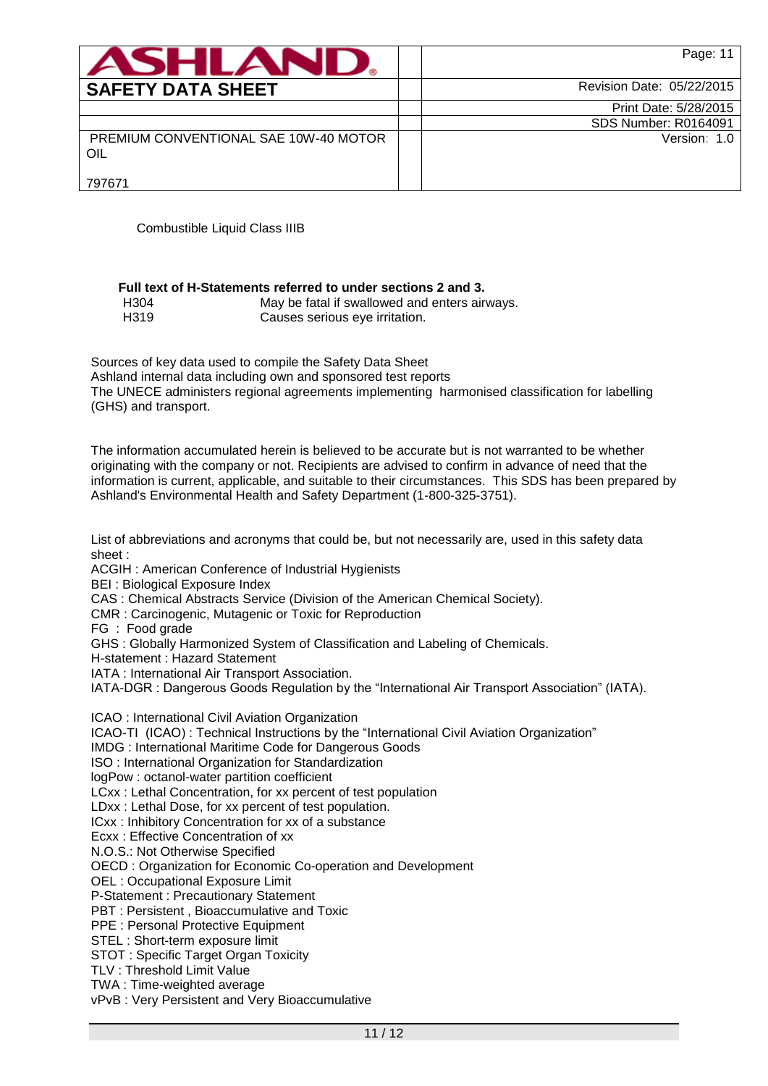| <b>ASHLAND.</b>                              | Page: 11                    |
|----------------------------------------------|-----------------------------|
| <b>SAFETY DATA SHEET</b>                     | Revision Date: 05/22/2015   |
|                                              | Print Date: 5/28/2015       |
|                                              | <b>SDS Number: R0164091</b> |
| PREMIUM CONVENTIONAL SAE 10W-40 MOTOR<br>OIL | Version: 1.0                |
| 797671                                       |                             |

Combustible Liquid Class IIIB

|      | Full text of H-Statements referred to under sections 2 and 3. |
|------|---------------------------------------------------------------|
| H304 | May be fatal if swallowed and enters airways.                 |
|      |                                                               |

H319 Causes serious eye irritation.

Sources of key data used to compile the Safety Data Sheet Ashland internal data including own and sponsored test reports The UNECE administers regional agreements implementing harmonised classification for labelling (GHS) and transport.

The information accumulated herein is believed to be accurate but is not warranted to be whether originating with the company or not. Recipients are advised to confirm in advance of need that the information is current, applicable, and suitable to their circumstances. This SDS has been prepared by Ashland's Environmental Health and Safety Department (1-800-325-3751).

List of abbreviations and acronyms that could be, but not necessarily are, used in this safety data sheet :

ACGIH : American Conference of Industrial Hygienists

BEI : Biological Exposure Index

CAS : Chemical Abstracts Service (Division of the American Chemical Society).

CMR : Carcinogenic, Mutagenic or Toxic for Reproduction

FG : Food grade

GHS : Globally Harmonized System of Classification and Labeling of Chemicals.

H-statement : Hazard Statement

IATA : International Air Transport Association.

IATA-DGR : Dangerous Goods Regulation by the "International Air Transport Association" (IATA).

ICAO : International Civil Aviation Organization ICAO-TI (ICAO) : Technical Instructions by the "International Civil Aviation Organization" IMDG : International Maritime Code for Dangerous Goods ISO : International Organization for Standardization logPow : octanol-water partition coefficient LCxx : Lethal Concentration, for xx percent of test population LDxx : Lethal Dose, for xx percent of test population. ICxx : Inhibitory Concentration for xx of a substance Ecxx : Effective Concentration of xx N.O.S.: Not Otherwise Specified OECD : Organization for Economic Co-operation and Development OEL : Occupational Exposure Limit P-Statement : Precautionary Statement PBT : Persistent , Bioaccumulative and Toxic PPE : Personal Protective Equipment STEL : Short-term exposure limit STOT : Specific Target Organ Toxicity TLV : Threshold Limit Value TWA : Time-weighted average

vPvB : Very Persistent and Very Bioaccumulative